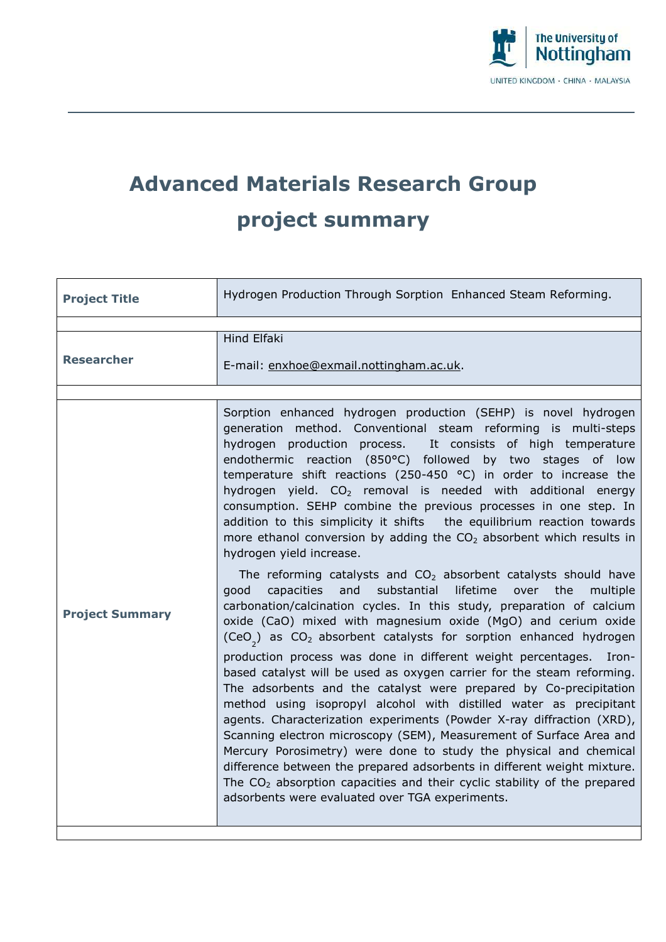

## **Advanced Materials Research Group project summary**

| <b>Project Title</b>   | Hydrogen Production Through Sorption Enhanced Steam Reforming.                                                                                                                                                                                                                                                                                                                                                                                                                                                                                                                                                                                                                                                                                                                                                                                                                                                                                                                                                                                                                                                                                                                                                                                                                                                                                                                                                                                                                                                                                                                                                                                                                                                                                                                                    |
|------------------------|---------------------------------------------------------------------------------------------------------------------------------------------------------------------------------------------------------------------------------------------------------------------------------------------------------------------------------------------------------------------------------------------------------------------------------------------------------------------------------------------------------------------------------------------------------------------------------------------------------------------------------------------------------------------------------------------------------------------------------------------------------------------------------------------------------------------------------------------------------------------------------------------------------------------------------------------------------------------------------------------------------------------------------------------------------------------------------------------------------------------------------------------------------------------------------------------------------------------------------------------------------------------------------------------------------------------------------------------------------------------------------------------------------------------------------------------------------------------------------------------------------------------------------------------------------------------------------------------------------------------------------------------------------------------------------------------------------------------------------------------------------------------------------------------------|
|                        |                                                                                                                                                                                                                                                                                                                                                                                                                                                                                                                                                                                                                                                                                                                                                                                                                                                                                                                                                                                                                                                                                                                                                                                                                                                                                                                                                                                                                                                                                                                                                                                                                                                                                                                                                                                                   |
| <b>Researcher</b>      | <b>Hind Elfaki</b><br>E-mail: enxhoe@exmail.nottingham.ac.uk.                                                                                                                                                                                                                                                                                                                                                                                                                                                                                                                                                                                                                                                                                                                                                                                                                                                                                                                                                                                                                                                                                                                                                                                                                                                                                                                                                                                                                                                                                                                                                                                                                                                                                                                                     |
|                        |                                                                                                                                                                                                                                                                                                                                                                                                                                                                                                                                                                                                                                                                                                                                                                                                                                                                                                                                                                                                                                                                                                                                                                                                                                                                                                                                                                                                                                                                                                                                                                                                                                                                                                                                                                                                   |
| <b>Project Summary</b> | Sorption enhanced hydrogen production (SEHP) is novel hydrogen<br>generation method. Conventional steam reforming is multi-steps<br>hydrogen production process. It consists of high temperature<br>endothermic reaction (850°C) followed by two stages of low<br>temperature shift reactions (250-450 $^{\circ}$ C) in order to increase the<br>hydrogen yield. CO <sub>2</sub> removal is needed with additional energy<br>consumption. SEHP combine the previous processes in one step. In<br>addition to this simplicity it shifts the equilibrium reaction towards<br>more ethanol conversion by adding the $CO2$ absorbent which results in<br>hydrogen yield increase.<br>The reforming catalysts and $CO2$ absorbent catalysts should have<br>substantial<br>lifetime<br>the<br>qood<br>capacities<br>and<br>over<br>multiple<br>carbonation/calcination cycles. In this study, preparation of calcium<br>oxide (CaO) mixed with magnesium oxide (MgO) and cerium oxide<br>(CeO <sub>2</sub> ) as $CO2$ absorbent catalysts for sorption enhanced hydrogen<br>production process was done in different weight percentages.<br>-Iron<br>based catalyst will be used as oxygen carrier for the steam reforming.<br>The adsorbents and the catalyst were prepared by Co-precipitation<br>method using isopropyl alcohol with distilled water as precipitant<br>agents. Characterization experiments (Powder X-ray diffraction (XRD),<br>Scanning electron microscopy (SEM), Measurement of Surface Area and<br>Mercury Porosimetry) were done to study the physical and chemical<br>difference between the prepared adsorbents in different weight mixture.<br>The $CO2$ absorption capacities and their cyclic stability of the prepared<br>adsorbents were evaluated over TGA experiments. |